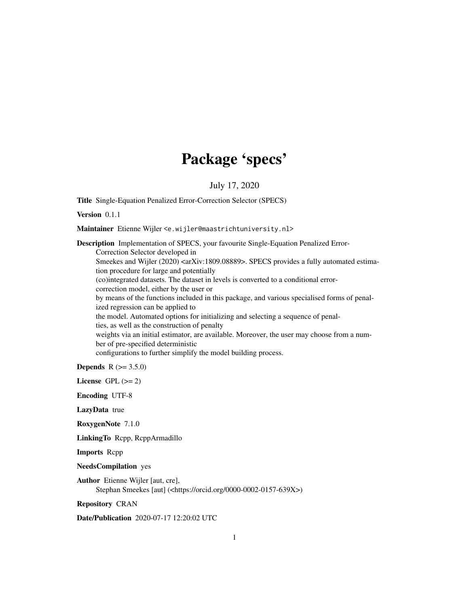## Package 'specs'

### July 17, 2020

Title Single-Equation Penalized Error-Correction Selector (SPECS)

Version 0.1.1

Maintainer Etienne Wijler <e.wijler@maastrichtuniversity.nl>

Description Implementation of SPECS, your favourite Single-Equation Penalized Error-Correction Selector developed in Smeekes and Wijler (2020) <arXiv:1809.08889>. SPECS provides a fully automated estimation procedure for large and potentially (co)integrated datasets. The dataset in levels is converted to a conditional errorcorrection model, either by the user or by means of the functions included in this package, and various specialised forms of penalized regression can be applied to the model. Automated options for initializing and selecting a sequence of penalties, as well as the construction of penalty weights via an initial estimator, are available. Moreover, the user may choose from a number of pre-specified deterministic configurations to further simplify the model building process.

**Depends**  $R (= 3.5.0)$ 

License GPL  $(>= 2)$ 

Encoding UTF-8

LazyData true

RoxygenNote 7.1.0

LinkingTo Rcpp, RcppArmadillo

Imports Rcpp

NeedsCompilation yes

Author Etienne Wijler [aut, cre], Stephan Smeekes [aut] (<https://orcid.org/0000-0002-0157-639X>)

Repository CRAN

Date/Publication 2020-07-17 12:20:02 UTC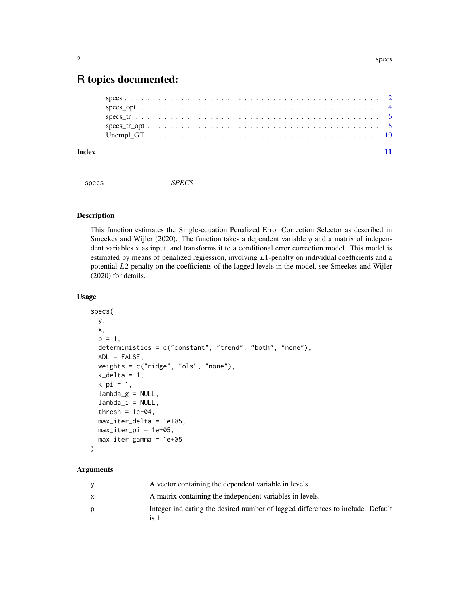## <span id="page-1-0"></span>R topics documented:

| Index |  |  |  |  |  |  |  |  |  |  |  |  |  |  |  |  |  |  |  |  |
|-------|--|--|--|--|--|--|--|--|--|--|--|--|--|--|--|--|--|--|--|--|

specs *SPECS*

#### Description

This function estimates the Single-equation Penalized Error Correction Selector as described in Smeekes and Wijler (2020). The function takes a dependent variable  $y$  and a matrix of independent variables x as input, and transforms it to a conditional error correction model. This model is estimated by means of penalized regression, involving  $L1$ -penalty on individual coefficients and a potential L2-penalty on the coefficients of the lagged levels in the model, see Smeekes and Wijler (2020) for details.

#### Usage

```
specs(
 y,
 x,
 p = 1,
 deterministics = c("constant", "trend", "both", "none"),
 ADL = FALSE,
 weights = c("ridge", "ols", "none"),
 k<sup>= 1</sup>,
 k<sup>-pi = 1</sup>,
  lambda_g = NULL,lambda_i = NULL,thresh = 1e-04,
 max_iter_delta = 1e+05,
 max\_iter\_pi = 1e+05,
 max_iter_gamma = 1e+05
)
```
## Arguments

| A vector containing the dependent variable in levels.                                    |
|------------------------------------------------------------------------------------------|
| A matrix containing the independent variables in levels.                                 |
| Integer indicating the desired number of lagged differences to include. Default<br>is 1. |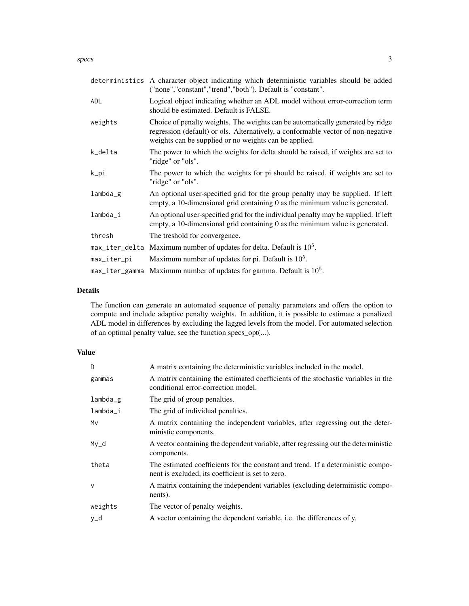|                | deterministics A character object indicating which deterministic variables should be added<br>("none","constant","trend","both"). Default is "constant".                                                                    |
|----------------|-----------------------------------------------------------------------------------------------------------------------------------------------------------------------------------------------------------------------------|
| <b>ADL</b>     | Logical object indicating whether an ADL model without error-correction term<br>should be estimated. Default is FALSE.                                                                                                      |
| weights        | Choice of penalty weights. The weights can be automatically generated by ridge<br>regression (default) or ols. Alternatively, a conformable vector of non-negative<br>weights can be supplied or no weights can be applied. |
| k_delta        | The power to which the weights for delta should be raised, if weights are set to<br>"ridge" or "ols".                                                                                                                       |
| k_pi           | The power to which the weights for pi should be raised, if weights are set to<br>"ridge" or "ols".                                                                                                                          |
| $lambda_g$     | An optional user-specified grid for the group penalty may be supplied. If left<br>empty, a 10-dimensional grid containing 0 as the minimum value is generated.                                                              |
| lambda_i       | An optional user-specified grid for the individual penalty may be supplied. If left<br>empty, a 10-dimensional grid containing 0 as the minimum value is generated.                                                         |
| thresh         | The treshold for convergence.                                                                                                                                                                                               |
|                | $max_i$ iter_delta Maximum number of updates for delta. Default is $10^5$ .                                                                                                                                                 |
| max_iter_pi    | Maximum number of updates for pi. Default is $105$ .                                                                                                                                                                        |
| max_iter_gamma | Maximum number of updates for gamma. Default is $105$ .                                                                                                                                                                     |

#### Details

The function can generate an automated sequence of penalty parameters and offers the option to compute and include adaptive penalty weights. In addition, it is possible to estimate a penalized ADL model in differences by excluding the lagged levels from the model. For automated selection of an optimal penalty value, see the function specs\_opt(...).

| D            | A matrix containing the deterministic variables included in the model.                                                                |
|--------------|---------------------------------------------------------------------------------------------------------------------------------------|
| gammas       | A matrix containing the estimated coefficients of the stochastic variables in the<br>conditional error-correction model.              |
| lambda_g     | The grid of group penalties.                                                                                                          |
| lambda_i     | The grid of individual penalties.                                                                                                     |
| Mv           | A matrix containing the independent variables, after regressing out the deter-<br>ministic components.                                |
| $My_d$       | A vector containing the dependent variable, after regressing out the deterministic<br>components.                                     |
| theta        | The estimated coefficients for the constant and trend. If a deterministic compo-<br>nent is excluded, its coefficient is set to zero. |
| $\mathsf{V}$ | A matrix containing the independent variables (excluding deterministic compo-<br>nents).                                              |
| weights      | The vector of penalty weights.                                                                                                        |
| y_d          | A vector containing the dependent variable, i.e. the differences of y.                                                                |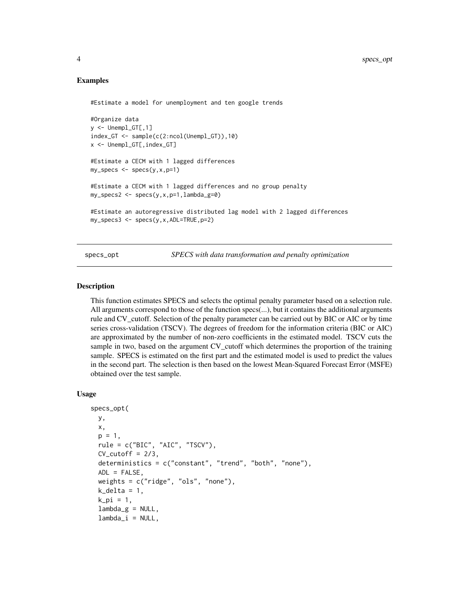```
#Estimate a model for unemployment and ten google trends
#Organize data
y \le - Unempl_GT[, 1]
index_GT <- sample(c(2:ncol(Unempl_GT)),10)
x <- Unempl_GT[,index_GT]
#Estimate a CECM with 1 lagged differences
my_specs \leq -specs(y,x,p=1)#Estimate a CECM with 1 lagged differences and no group penalty
my_specs2 \leq -~specs(y,x,p=1,lambda_g=0)#Estimate an autoregressive distributed lag model with 2 lagged differences
my_specs3 \leq -specs(y,x,ADL=TRUE,p=2)
```
specs\_opt *SPECS with data transformation and penalty optimization*

#### Description

This function estimates SPECS and selects the optimal penalty parameter based on a selection rule. All arguments correspond to those of the function specs(...), but it contains the additional arguments rule and CV\_cutoff. Selection of the penalty parameter can be carried out by BIC or AIC or by time series cross-validation (TSCV). The degrees of freedom for the information criteria (BIC or AIC) are approximated by the number of non-zero coefficients in the estimated model. TSCV cuts the sample in two, based on the argument CV\_cutoff which determines the proportion of the training sample. SPECS is estimated on the first part and the estimated model is used to predict the values in the second part. The selection is then based on the lowest Mean-Squared Forecast Error (MSFE) obtained over the test sample.

#### Usage

```
specs_opt(
 y,
 x,
  p = 1,
  rule = c("BIC", "AIC", "TSCV"),
 CV_cutoff = 2/3,
  deterministics = c("constant", "trend", "both", "none"),
  ADL = FALSE,
  weights = c("ridge", "ols", "none"),
  k<sup>-</sup>delta = 1,
  k_pi = 1,
  lambda_g = NULL,lambda_i = NULL,
```
<span id="page-3-0"></span>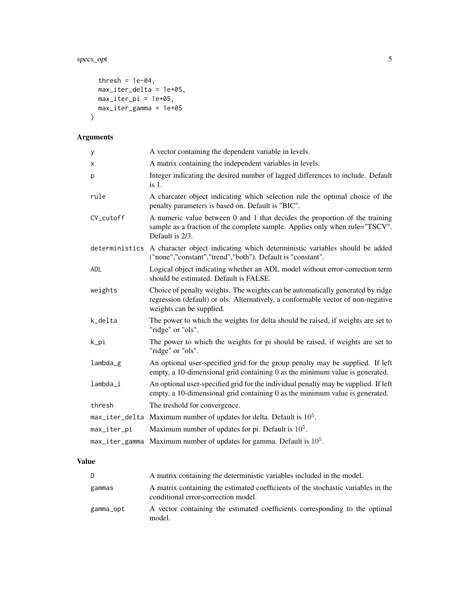## specs\_opt 5

```
thresh = 1e-04,
 max_iter_delta = 1e+05,
 max\_iter\_pi = 1e+05,
 max_iter_gamma = 1e+05
\mathcal{L}
```
## Arguments

| У               | A vector containing the dependent variable in levels.                                                                                                                                          |
|-----------------|------------------------------------------------------------------------------------------------------------------------------------------------------------------------------------------------|
| x               | A matrix containing the independent variables in levels.                                                                                                                                       |
| p               | Integer indicating the desired number of lagged differences to include. Default<br>$is1$ .                                                                                                     |
| rule            | A charcater object indicating which selection rule the optimal choice of the<br>penalty parameters is based on. Default is "BIC".                                                              |
| CV_cutoff       | A numeric value between 0 and 1 that decides the proportion of the training<br>sample as a fraction of the complete sample. Applies only when rule="TSCV".<br>Default is 2/3.                  |
|                 | deterministics A character object indicating which deterministic variables should be added<br>("none","constant","trend","both"). Default is "constant".                                       |
| ADL             | Logical object indicating whether an ADL model without error-correction term<br>should be estimated. Default is FALSE.                                                                         |
| weights         | Choice of penalty weights. The weights can be automatically generated by ridge<br>regression (default) or ols. Alternatively, a conformable vector of non-negative<br>weights can be supplied. |
| k_delta         | The power to which the weights for delta should be raised, if weights are set to<br>"ridge" or "ols".                                                                                          |
| k_pi            | The power to which the weights for pi should be raised, if weights are set to<br>"ridge" or "ols".                                                                                             |
| lambda_g        | An optional user-specified grid for the group penalty may be supplied. If left<br>empty, a 10-dimensional grid containing $\theta$ as the minimum value is generated.                          |
| $l$ ambda $\_i$ | An optional user-specified grid for the individual penalty may be supplied. If left<br>empty, a 10-dimensional grid containing 0 as the minimum value is generated.                            |
| thresh          | The treshold for convergence.                                                                                                                                                                  |
|                 | $max$ <sub>1</sub> iter_delta Maximum number of updates for delta. Default is $105$ .                                                                                                          |
| max_iter_pi     | Maximum number of updates for pi. Default is $105$ .                                                                                                                                           |
| max_iter_gamma  | Maximum number of updates for gamma. Default is $105$ .                                                                                                                                        |

| D         | A matrix containing the deterministic variables included in the model.                                                   |
|-----------|--------------------------------------------------------------------------------------------------------------------------|
| gammas    | A matrix containing the estimated coefficients of the stochastic variables in the<br>conditional error-correction model. |
| gamma_opt | A vector containing the estimated coefficients corresponding to the optimal<br>model.                                    |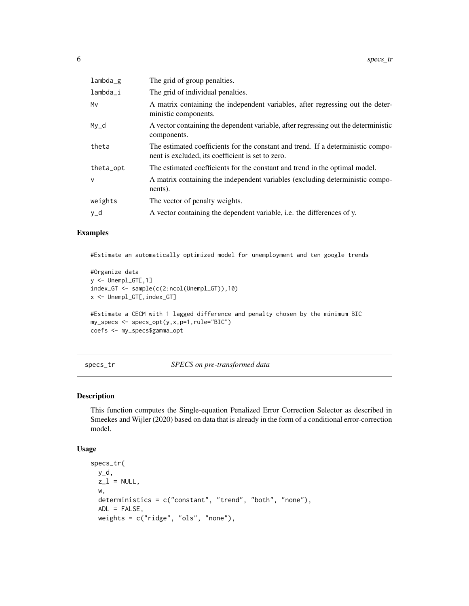<span id="page-5-0"></span>

| $lambda_g$   | The grid of group penalties.                                                                                                          |
|--------------|---------------------------------------------------------------------------------------------------------------------------------------|
| lambda_i     | The grid of individual penalties.                                                                                                     |
| Mv           | A matrix containing the independent variables, after regressing out the deter-<br>ministic components.                                |
| $My_d$       | A vector containing the dependent variable, after regressing out the deterministic<br>components.                                     |
| theta        | The estimated coefficients for the constant and trend. If a deterministic compo-<br>nent is excluded, its coefficient is set to zero. |
| theta_opt    | The estimated coefficients for the constant and trend in the optimal model.                                                           |
| $\mathsf{V}$ | A matrix containing the independent variables (excluding deterministic compo-<br>nents).                                              |
| weights      | The vector of penalty weights.                                                                                                        |
| y_d          | A vector containing the dependent variable, i.e. the differences of y.                                                                |

#Estimate an automatically optimized model for unemployment and ten google trends

```
#Organize data
y \leftarrow Unempl_GT[, 1]
index_GT <- sample(c(2:ncol(Unempl_GT)),10)
x <- Unempl_GT[,index_GT]
#Estimate a CECM with 1 lagged difference and penalty chosen by the minimum BIC
my_specs <- specs_opt(y,x,p=1,rule="BIC")
coefs <- my_specs$gamma_opt
```
specs\_tr *SPECS on pre-transformed data*

#### Description

This function computes the Single-equation Penalized Error Correction Selector as described in Smeekes and Wijler (2020) based on data that is already in the form of a conditional error-correction model.

#### Usage

```
specs_tr(
 y_d,
 z_l = NULL,w,
 deterministics = c("constant", "trend", "both", "none"),
 ADL = FALSE,
 weights = c("ridge", "ols", "none"),
```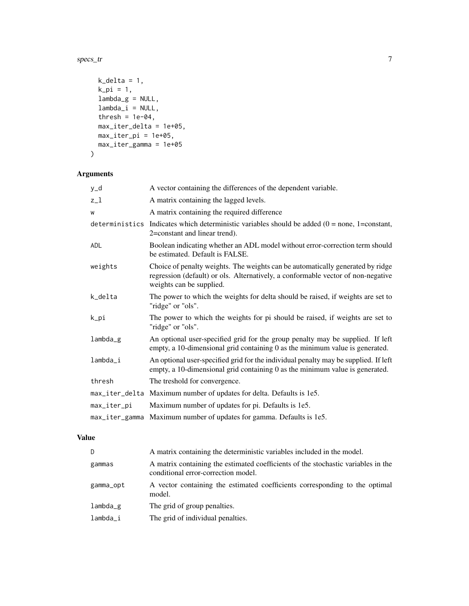specs\_tr 7

```
k<sup>-</sup>delta = 1,
  k<sub>-</sub>pi = 1,
  lambda_g = NULL,lambda_i = NULL,thresh = 1e-04,
  max_iter_delta = 1e+05,
  max_iter_pi = 1e+05,
  max_iter_gamma = 1e+05
\mathcal{L}
```
#### Arguments

| y_d             | A vector containing the differences of the dependent variable.                                                                                                                                 |
|-----------------|------------------------------------------------------------------------------------------------------------------------------------------------------------------------------------------------|
| $z_{-}1$        | A matrix containing the lagged levels.                                                                                                                                                         |
| W               | A matrix containing the required difference                                                                                                                                                    |
|                 | deterministics Indicates which deterministic variables should be added $(0 = none, 1 = constant,$<br>2=constant and linear trend).                                                             |
| <b>ADL</b>      | Boolean indicating whether an ADL model without error-correction term should<br>be estimated. Default is FALSE.                                                                                |
| weights         | Choice of penalty weights. The weights can be automatically generated by ridge<br>regression (default) or ols. Alternatively, a conformable vector of non-negative<br>weights can be supplied. |
| k_delta         | The power to which the weights for delta should be raised, if weights are set to<br>"ridge" or "ols".                                                                                          |
| k_pi            | The power to which the weights for pi should be raised, if weights are set to<br>"ridge" or "ols".                                                                                             |
| lambda_g        | An optional user-specified grid for the group penalty may be supplied. If left<br>empty, a 10-dimensional grid containing 0 as the minimum value is generated.                                 |
| $l$ ambda $\_i$ | An optional user-specified grid for the individual penalty may be supplied. If left<br>empty, a 10-dimensional grid containing 0 as the minimum value is generated.                            |
| thresh          | The treshold for convergence.                                                                                                                                                                  |
|                 | max_iter_delta Maximum number of updates for delta. Defaults is 1e5.                                                                                                                           |
| max_iter_pi     | Maximum number of updates for pi. Defaults is 1e5.                                                                                                                                             |
|                 | max_iter_gamma Maximum number of updates for gamma. Defaults is 1e5.                                                                                                                           |

| D.            | A matrix containing the deterministic variables included in the model.                                                   |
|---------------|--------------------------------------------------------------------------------------------------------------------------|
| gammas        | A matrix containing the estimated coefficients of the stochastic variables in the<br>conditional error-correction model. |
| gamma_opt     | A vector containing the estimated coefficients corresponding to the optimal<br>model.                                    |
| $l$ ambda $g$ | The grid of group penalties.                                                                                             |
| lambda_i      | The grid of individual penalties.                                                                                        |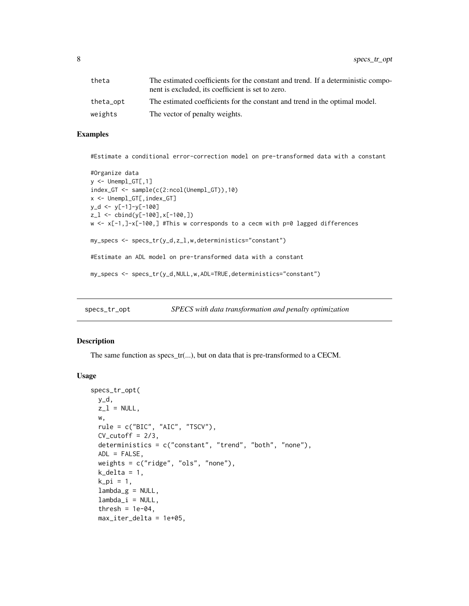<span id="page-7-0"></span>

| theta     | The estimated coefficients for the constant and trend. If a deterministic compo-<br>nent is excluded, its coefficient is set to zero. |
|-----------|---------------------------------------------------------------------------------------------------------------------------------------|
| theta_opt | The estimated coefficients for the constant and trend in the optimal model.                                                           |
| weights   | The vector of penalty weights.                                                                                                        |

#Estimate a conditional error-correction model on pre-transformed data with a constant

```
#Organize data
y \leftarrow Unempl_GT[, 1]
index_GT <- sample(c(2:ncol(Unempl_GT)),10)
x <- Unempl_GT[,index_GT]
y_d <- y[-1]-y[-100]
z_l <- cbind(y[-100],x[-100,])
w <- x[-1,]-x[-100,] #This w corresponds to a cecm with p=0 lagged differences
my_specs <- specs_tr(y_d,z_l,w,deterministics="constant")
#Estimate an ADL model on pre-transformed data with a constant
my_specs <- specs_tr(y_d,NULL,w,ADL=TRUE,deterministics="constant")
```
specs\_tr\_opt *SPECS with data transformation and penalty optimization*

#### Description

The same function as specs\_tr(...), but on data that is pre-transformed to a CECM.

#### Usage

```
specs_tr_opt(
 y_d,
 z_l = NULL,w,
  rule = c("BIC", "AIC", "TSCV"),
 CV_cutoff = 2/3,
 deterministics = c("constant", "trend", "both", "none"),
 ADL = FALSE,
 weights = c("ridge", "ols", "none"),
  k<sup>delta = 1,</sup>
  k_pi = 1,
  lambda_g = NULL,lambda_i = NULL,thresh = 1e-04,
 max_iter_delta = 1e+05,
```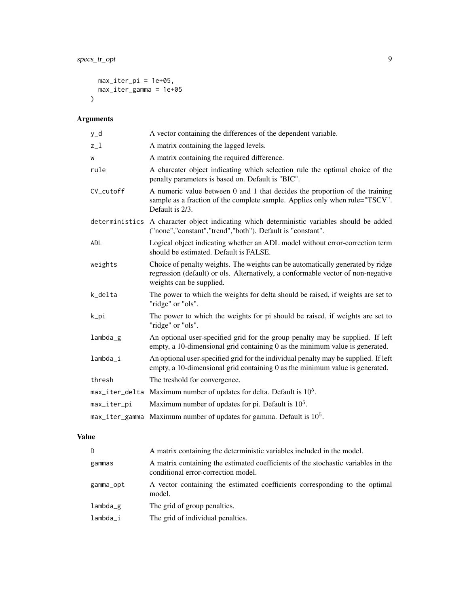```
max_iter_pi = 1e+05,
max_iter_gamma = 1e+05
\lambda
```
## Arguments

| y_d            | A vector containing the differences of the dependent variable.                                                                                                                                 |
|----------------|------------------------------------------------------------------------------------------------------------------------------------------------------------------------------------------------|
| $z_{-}1$       | A matrix containing the lagged levels.                                                                                                                                                         |
| W              | A matrix containing the required difference.                                                                                                                                                   |
| rule           | A charcater object indicating which selection rule the optimal choice of the<br>penalty parameters is based on. Default is "BIC".                                                              |
| CV cutoff      | A numeric value between 0 and 1 that decides the proportion of the training<br>sample as a fraction of the complete sample. Applies only when rule="TSCV".<br>Default is 2/3.                  |
|                | deterministics A character object indicating which deterministic variables should be added<br>("none","constant","trend","both"). Default is "constant".                                       |
| <b>ADL</b>     | Logical object indicating whether an ADL model without error-correction term<br>should be estimated. Default is FALSE.                                                                         |
| weights        | Choice of penalty weights. The weights can be automatically generated by ridge<br>regression (default) or ols. Alternatively, a conformable vector of non-negative<br>weights can be supplied. |
| k_delta        | The power to which the weights for delta should be raised, if weights are set to<br>"ridge" or "ols".                                                                                          |
| k_pi           | The power to which the weights for pi should be raised, if weights are set to<br>"ridge" or "ols".                                                                                             |
| $lambda_g$     | An optional user-specified grid for the group penalty may be supplied. If left<br>empty, a 10-dimensional grid containing $\theta$ as the minimum value is generated.                          |
| lambda_i       | An optional user-specified grid for the individual penalty may be supplied. If left<br>empty, a 10-dimensional grid containing $0$ as the minimum value is generated.                          |
| thresh         | The treshold for convergence.                                                                                                                                                                  |
| max_iter_delta | Maximum number of updates for delta. Default is $105$ .                                                                                                                                        |
| max_iter_pi    | Maximum number of updates for pi. Default is $105$ .                                                                                                                                           |
| max_iter_gamma | Maximum number of updates for gamma. Default is $105$ .                                                                                                                                        |

| D.         | A matrix containing the deterministic variables included in the model.                                                   |
|------------|--------------------------------------------------------------------------------------------------------------------------|
| gammas     | A matrix containing the estimated coefficients of the stochastic variables in the<br>conditional error-correction model. |
| gamma_opt  | A vector containing the estimated coefficients corresponding to the optimal<br>model.                                    |
| $lambda_g$ | The grid of group penalties.                                                                                             |
| lambda_i   | The grid of individual penalties.                                                                                        |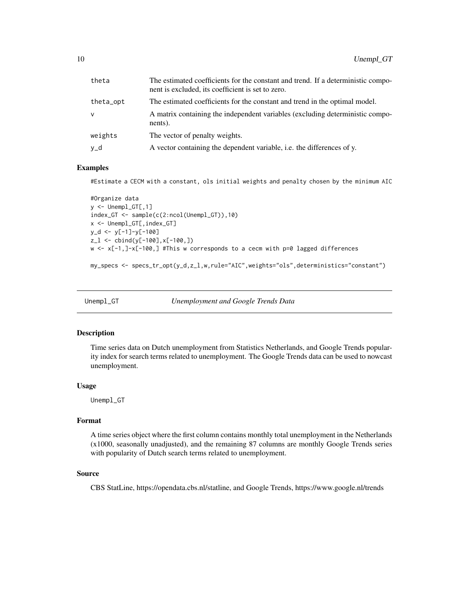<span id="page-9-0"></span>

| theta     | The estimated coefficients for the constant and trend. If a deterministic compo-<br>nent is excluded, its coefficient is set to zero. |
|-----------|---------------------------------------------------------------------------------------------------------------------------------------|
| theta_opt | The estimated coefficients for the constant and trend in the optimal model.                                                           |
| $\vee$    | A matrix containing the independent variables (excluding deterministic compo-<br>nents).                                              |
| weights   | The vector of penalty weights.                                                                                                        |
| y_d       | A vector containing the dependent variable, i.e. the differences of y.                                                                |

#Estimate a CECM with a constant, ols initial weights and penalty chosen by the minimum AIC

```
#Organize data
y <- Unempl_GT[,1]
index_GT <- sample(c(2:ncol(Unempl_GT)),10)
x <- Unempl_GT[,index_GT]
y_d <- y[-1]-y[-100]
z_l <- cbind(y[-100],x[-100,])
w <- x[-1,]-x[-100,] #This w corresponds to a cecm with p=0 lagged differences
```
my\_specs <- specs\_tr\_opt(y\_d,z\_l,w,rule="AIC",weights="ols",deterministics="constant")

```
Unempl_GT Unemployment and Google Trends Data
```
#### Description

Time series data on Dutch unemployment from Statistics Netherlands, and Google Trends popularity index for search terms related to unemployment. The Google Trends data can be used to nowcast unemployment.

#### Usage

Unempl\_GT

#### Format

A time series object where the first column contains monthly total unemployment in the Netherlands (x1000, seasonally unadjusted), and the remaining 87 columns are monthly Google Trends series with popularity of Dutch search terms related to unemployment.

#### Source

CBS StatLine, https://opendata.cbs.nl/statline, and Google Trends, https://www.google.nl/trends